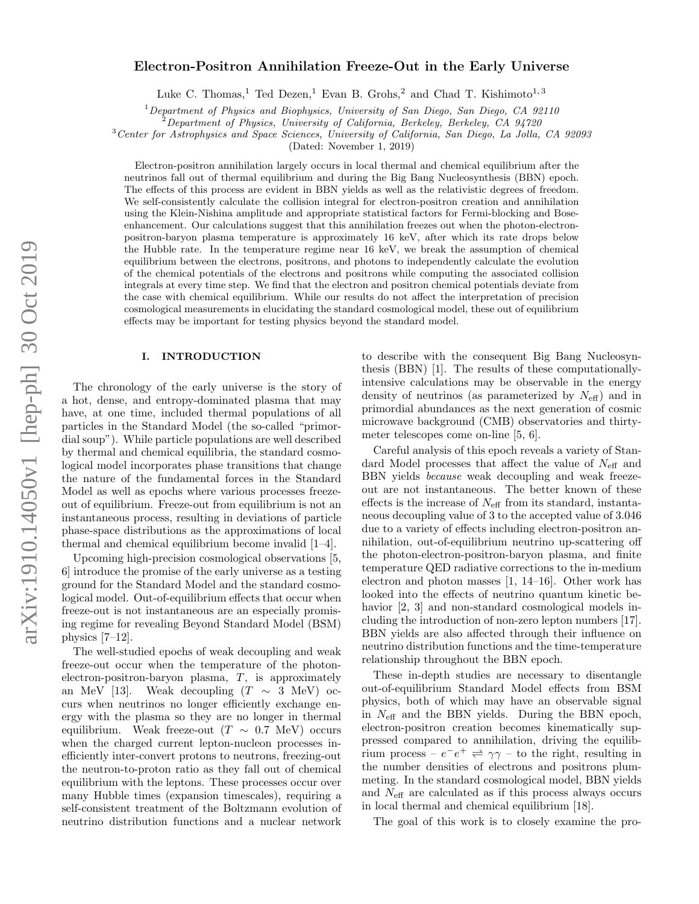# arXiv:1910.14050v1 [hep-ph] 30 Oct 2019 arXiv:1910.14050v1 [hep-ph] 30 Oct 2019

# Electron-Positron Annihilation Freeze-Out in the Early Universe

Luke C. Thomas,<sup>1</sup> Ted Dezen,<sup>1</sup> Evan B. Grohs,<sup>2</sup> and Chad T. Kishimoto<sup>1,3</sup>

 $1$ Department of Physics and Biophysics, University of San Diego, San Diego, CA 92110

 $^{2}$ Department of Physics, University of California, Berkeley, Berkeley, CA 94720

<sup>3</sup>Center for Astrophysics and Space Sciences, University of California, San Diego, La Jolla, CA 92093

(Dated: November 1, 2019)

Electron-positron annihilation largely occurs in local thermal and chemical equilibrium after the neutrinos fall out of thermal equilibrium and during the Big Bang Nucleosynthesis (BBN) epoch. The effects of this process are evident in BBN yields as well as the relativistic degrees of freedom. We self-consistently calculate the collision integral for electron-positron creation and annihilation using the Klein-Nishina amplitude and appropriate statistical factors for Fermi-blocking and Boseenhancement. Our calculations suggest that this annihilation freezes out when the photon-electronpositron-baryon plasma temperature is approximately 16 keV, after which its rate drops below the Hubble rate. In the temperature regime near 16 keV, we break the assumption of chemical equilibrium between the electrons, positrons, and photons to independently calculate the evolution of the chemical potentials of the electrons and positrons while computing the associated collision integrals at every time step. We find that the electron and positron chemical potentials deviate from the case with chemical equilibrium. While our results do not affect the interpretation of precision cosmological measurements in elucidating the standard cosmological model, these out of equilibrium effects may be important for testing physics beyond the standard model.

# I. INTRODUCTION

The chronology of the early universe is the story of a hot, dense, and entropy-dominated plasma that may have, at one time, included thermal populations of all particles in the Standard Model (the so-called "primordial soup"). While particle populations are well described by thermal and chemical equilibria, the standard cosmological model incorporates phase transitions that change the nature of the fundamental forces in the Standard Model as well as epochs where various processes freezeout of equilibrium. Freeze-out from equilibrium is not an instantaneous process, resulting in deviations of particle phase-space distributions as the approximations of local thermal and chemical equilibrium become invalid [1–4].

Upcoming high-precision cosmological observations [5, 6] introduce the promise of the early universe as a testing ground for the Standard Model and the standard cosmological model. Out-of-equilibrium effects that occur when freeze-out is not instantaneous are an especially promising regime for revealing Beyond Standard Model (BSM) physics [7–12].

The well-studied epochs of weak decoupling and weak freeze-out occur when the temperature of the photonelectron-positron-baryon plasma, T, is approximately an MeV [13]. Weak decoupling  $(T \sim 3 \text{ MeV})$  occurs when neutrinos no longer efficiently exchange energy with the plasma so they are no longer in thermal equilibrium. Weak freeze-out ( $T \sim 0.7$  MeV) occurs when the charged current lepton-nucleon processes inefficiently inter-convert protons to neutrons, freezing-out the neutron-to-proton ratio as they fall out of chemical equilibrium with the leptons. These processes occur over many Hubble times (expansion timescales), requiring a self-consistent treatment of the Boltzmann evolution of neutrino distribution functions and a nuclear network

to describe with the consequent Big Bang Nucleosynthesis (BBN) [1]. The results of these computationallyintensive calculations may be observable in the energy density of neutrinos (as parameterized by  $N_{\text{eff}}$ ) and in primordial abundances as the next generation of cosmic microwave background (CMB) observatories and thirtymeter telescopes come on-line [5, 6].

Careful analysis of this epoch reveals a variety of Standard Model processes that affect the value of  $N_{\text{eff}}$  and BBN yields because weak decoupling and weak freezeout are not instantaneous. The better known of these effects is the increase of  $N_{\text{eff}}$  from its standard, instantaneous decoupling value of 3 to the accepted value of 3.046 due to a variety of effects including electron-positron annihilation, out-of-equilibrium neutrino up-scattering off the photon-electron-positron-baryon plasma, and finite temperature QED radiative corrections to the in-medium electron and photon masses [1, 14–16]. Other work has looked into the effects of neutrino quantum kinetic behavior [2, 3] and non-standard cosmological models including the introduction of non-zero lepton numbers [17]. BBN yields are also affected through their influence on neutrino distribution functions and the time-temperature relationship throughout the BBN epoch.

These in-depth studies are necessary to disentangle out-of-equilibrium Standard Model effects from BSM physics, both of which may have an observable signal in  $N_{\text{eff}}$  and the BBN yields. During the BBN epoch, electron-positron creation becomes kinematically suppressed compared to annihilation, driving the equilibrium process –  $e^-e^+ \rightleftharpoons \gamma\gamma$  – to the right, resulting in the number densities of electrons and positrons plummeting. In the standard cosmological model, BBN yields and  $N_{\text{eff}}$  are calculated as if this process always occurs in local thermal and chemical equilibrium [18].

The goal of this work is to closely examine the pro-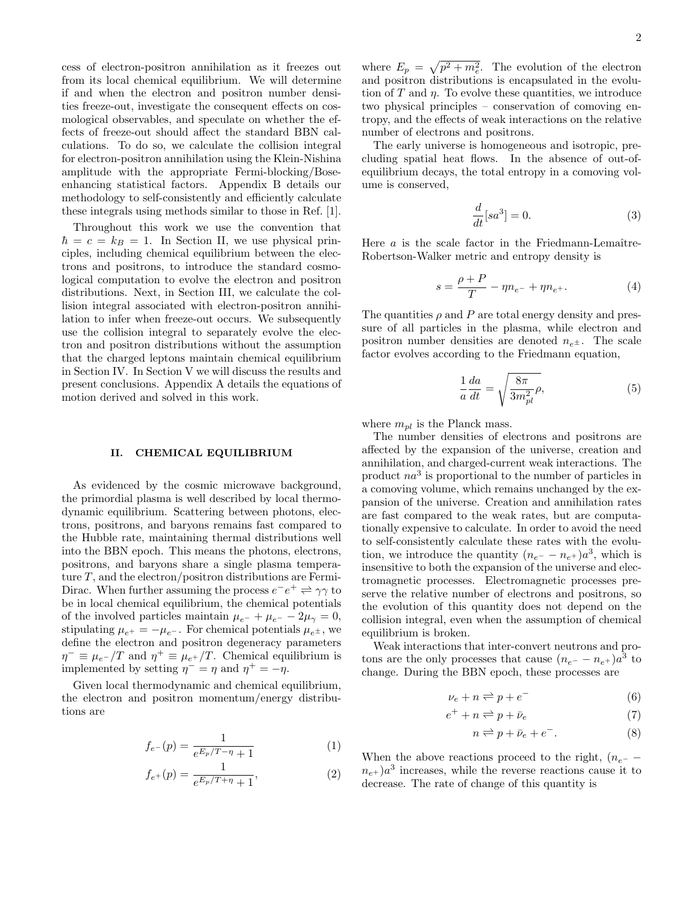cess of electron-positron annihilation as it freezes out from its local chemical equilibrium. We will determine if and when the electron and positron number densities freeze-out, investigate the consequent effects on cosmological observables, and speculate on whether the effects of freeze-out should affect the standard BBN calculations. To do so, we calculate the collision integral for electron-positron annihilation using the Klein-Nishina amplitude with the appropriate Fermi-blocking/Boseenhancing statistical factors. Appendix B details our methodology to self-consistently and efficiently calculate these integrals using methods similar to those in Ref. [1].

Throughout this work we use the convention that  $\hbar = c = k_B = 1$ . In Section II, we use physical principles, including chemical equilibrium between the electrons and positrons, to introduce the standard cosmological computation to evolve the electron and positron distributions. Next, in Section III, we calculate the collision integral associated with electron-positron annihilation to infer when freeze-out occurs. We subsequently use the collision integral to separately evolve the electron and positron distributions without the assumption that the charged leptons maintain chemical equilibrium in Section IV. In Section V we will discuss the results and present conclusions. Appendix A details the equations of motion derived and solved in this work.

### II. CHEMICAL EQUILIBRIUM

As evidenced by the cosmic microwave background, the primordial plasma is well described by local thermodynamic equilibrium. Scattering between photons, electrons, positrons, and baryons remains fast compared to the Hubble rate, maintaining thermal distributions well into the BBN epoch. This means the photons, electrons, positrons, and baryons share a single plasma temperature  $T$ , and the electron/positron distributions are Fermi-Dirac. When further assuming the process  $e^-e^+ \rightleftharpoons \gamma\gamma$  to be in local chemical equilibrium, the chemical potentials of the involved particles maintain  $\mu_{e^-} + \mu_{e^-} - 2\mu_{\gamma} = 0$ , stipulating  $\mu_{e^+} = -\mu_{e^-}$ . For chemical potentials  $\mu_{e^{\pm}}$ , we define the electron and positron degeneracy parameters  $\eta^- \equiv \mu_{e^-}/T$  and  $\eta^+ \equiv \mu_{e^+}/T$ . Chemical equilibrium is implemented by setting  $\eta^- = \eta$  and  $\eta^+ = -\eta$ .

Given local thermodynamic and chemical equilibrium, the electron and positron momentum/energy distributions are

$$
f_{e^{-}}(p) = \frac{1}{e^{E_p/T - \eta} + 1}
$$
 (1)

$$
f_{e^{+}}(p) = \frac{1}{e^{E_p/T + \eta} + 1},
$$
\n(2)

where  $E_p = \sqrt{p^2 + m_e^2}$ . The evolution of the electron and positron distributions is encapsulated in the evolution of  $T$  and  $\eta$ . To evolve these quantities, we introduce two physical principles – conservation of comoving entropy, and the effects of weak interactions on the relative number of electrons and positrons.

The early universe is homogeneous and isotropic, precluding spatial heat flows. In the absence of out-ofequilibrium decays, the total entropy in a comoving volume is conserved,

$$
\frac{d}{dt}[sa^3] = 0.\t\t(3)
$$

Here  $a$  is the scale factor in the Friedmann-Lemaître-Robertson-Walker metric and entropy density is

$$
s = \frac{\rho + P}{T} - \eta n_{e^{-}} + \eta n_{e^{+}}.
$$
 (4)

The quantities  $\rho$  and  $P$  are total energy density and pressure of all particles in the plasma, while electron and positron number densities are denoted  $n_{e^{\pm}}$ . The scale factor evolves according to the Friedmann equation,

$$
\frac{1}{a}\frac{da}{dt} = \sqrt{\frac{8\pi}{3m_{pl}^2}\rho},\tag{5}
$$

where  $m_{nl}$  is the Planck mass.

The number densities of electrons and positrons are affected by the expansion of the universe, creation and annihilation, and charged-current weak interactions. The product  $na^3$  is proportional to the number of particles in a comoving volume, which remains unchanged by the expansion of the universe. Creation and annihilation rates are fast compared to the weak rates, but are computationally expensive to calculate. In order to avoid the need to self-consistently calculate these rates with the evolution, we introduce the quantity  $(n_{e^{-}} - n_{e^{+}})a^{3}$ , which is insensitive to both the expansion of the universe and electromagnetic processes. Electromagnetic processes preserve the relative number of electrons and positrons, so the evolution of this quantity does not depend on the collision integral, even when the assumption of chemical equilibrium is broken.

Weak interactions that inter-convert neutrons and protons are the only processes that cause  $(n_{e^{-}} - n_{e^{+}})a^3$  to change. During the BBN epoch, these processes are

$$
\nu_e + n \rightleftharpoons p + e^- \tag{6}
$$

$$
e^+ + n \rightleftharpoons p + \bar{\nu}_e \tag{7}
$$

$$
n \rightleftharpoons p + \bar{\nu}_e + e^-.
$$
 (8)

When the above reactions proceed to the right,  $(n_{e^-}$  $n_{e+}$ ) $a<sup>3</sup>$  increases, while the reverse reactions cause it to decrease. The rate of change of this quantity is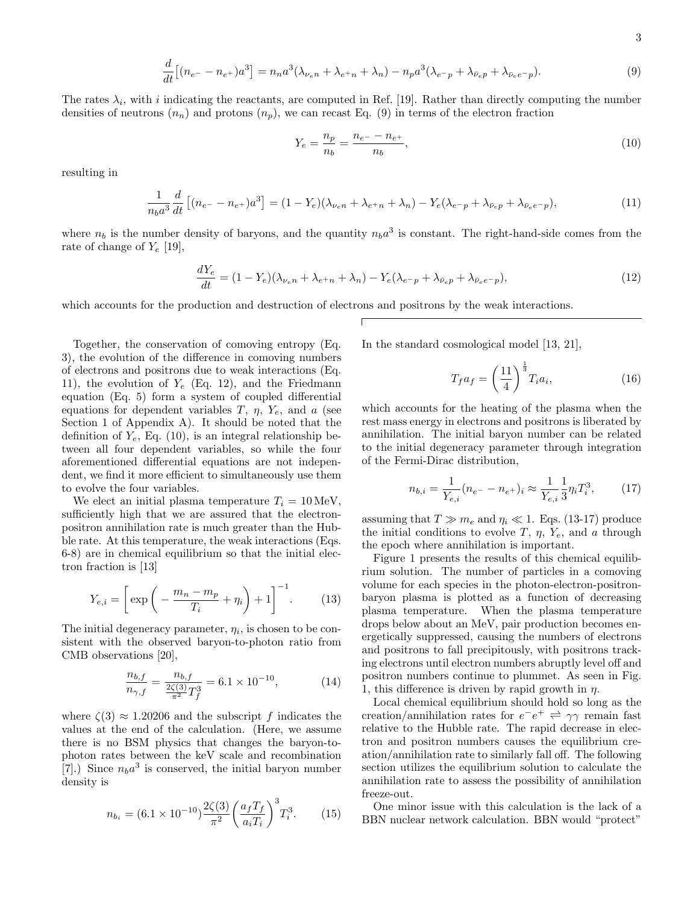$$
\frac{d}{dt}\left[ (n_{e^{-}} - n_{e^{+}})a^3 \right] = n_n a^3 (\lambda_{\nu_e n} + \lambda_{e^{+}n} + \lambda_n) - n_p a^3 (\lambda_{e^{-}p} + \lambda_{\bar{\nu}_e p} + \lambda_{\bar{\nu}_e e^{-}p}).\tag{9}
$$

The rates  $\lambda_i$ , with i indicating the reactants, are computed in Ref. [19]. Rather than directly computing the number densities of neutrons  $(n_n)$  and protons  $(n_p)$ , we can recast Eq. (9) in terms of the electron fraction

$$
Y_e = \frac{n_p}{n_b} = \frac{n_{e^-} - n_{e^+}}{n_b},\tag{10}
$$

resulting in

d

$$
\frac{1}{n_b a^3} \frac{d}{dt} \left[ (n_{e^-} - n_{e^+}) a^3 \right] = (1 - Y_e)(\lambda_{\nu_e n} + \lambda_{e^+ n} + \lambda_n) - Y_e (\lambda_{e^- p} + \lambda_{\bar{\nu}_e p} + \lambda_{\bar{\nu}_e e^- p}), \tag{11}
$$

where  $n_b$  is the number density of baryons, and the quantity  $n_b a^3$  is constant. The right-hand-side comes from the rate of change of  $Y_e$  [19],

$$
\frac{dY_e}{dt} = (1 - Y_e)(\lambda_{\nu_e n} + \lambda_{e^+ n} + \lambda_n) - Y_e(\lambda_{e^- p} + \lambda_{\bar{\nu}_e p} + \lambda_{\bar{\nu}_e e^- p}),\tag{12}
$$

which accounts for the production and destruction of electrons and positrons by the weak interactions.

Together, the conservation of comoving entropy (Eq. 3), the evolution of the difference in comoving numbers of electrons and positrons due to weak interactions (Eq. 11), the evolution of  $Y_e$  (Eq. 12), and the Friedmann equation (Eq. 5) form a system of coupled differential equations for dependent variables  $T$ ,  $\eta$ ,  $Y_e$ , and a (see Section 1 of Appendix A). It should be noted that the definition of  $Y_e$ , Eq. (10), is an integral relationship between all four dependent variables, so while the four aforementioned differential equations are not independent, we find it more efficient to simultaneously use them to evolve the four variables.

We elect an initial plasma temperature  $T_i = 10 \,\text{MeV}$ , sufficiently high that we are assured that the electronpositron annihilation rate is much greater than the Hubble rate. At this temperature, the weak interactions (Eqs. 6-8) are in chemical equilibrium so that the initial electron fraction is [13]

$$
Y_{e,i} = \left[ \exp\left( -\frac{m_n - m_p}{T_i} + \eta_i \right) + 1 \right]^{-1}.
$$
 (13)

The initial degeneracy parameter,  $\eta_i$ , is chosen to be consistent with the observed baryon-to-photon ratio from CMB observations [20],

$$
\frac{n_{b,f}}{n_{\gamma,f}} = \frac{n_{b,f}}{\frac{2\zeta(3)}{\pi^2}T_f^3} = 6.1 \times 10^{-10},\tag{14}
$$

where  $\zeta(3) \approx 1.20206$  and the subscript f indicates the values at the end of the calculation. (Here, we assume there is no BSM physics that changes the baryon-tophoton rates between the keV scale and recombination [7].) Since  $n_b a^3$  is conserved, the initial baryon number density is

$$
n_{b_i} = (6.1 \times 10^{-10}) \frac{2\zeta(3)}{\pi^2} \left(\frac{a_f T_f}{a_i T_i}\right)^3 T_i^3. \tag{15}
$$

In the standard cosmological model [13, 21],

$$
T_f a_f = \left(\frac{11}{4}\right)^{\frac{1}{3}} T_i a_i,\tag{16}
$$

which accounts for the heating of the plasma when the rest mass energy in electrons and positrons is liberated by annihilation. The initial baryon number can be related to the initial degeneracy parameter through integration of the Fermi-Dirac distribution,

$$
n_{b,i} = \frac{1}{Y_{e,i}} (n_{e^-} - n_{e^+})_i \approx \frac{1}{Y_{e,i}} \frac{1}{3} \eta_i T_i^3, \qquad (17)
$$

assuming that  $T \gg m_e$  and  $\eta_i \ll 1$ . Eqs. (13-17) produce the initial conditions to evolve T,  $\eta$ ,  $Y_e$ , and a through the epoch where annihilation is important.

Figure 1 presents the results of this chemical equilibrium solution. The number of particles in a comoving volume for each species in the photon-electron-positronbaryon plasma is plotted as a function of decreasing plasma temperature. When the plasma temperature drops below about an MeV, pair production becomes energetically suppressed, causing the numbers of electrons and positrons to fall precipitously, with positrons tracking electrons until electron numbers abruptly level off and positron numbers continue to plummet. As seen in Fig. 1, this difference is driven by rapid growth in  $\eta$ .

Local chemical equilibrium should hold so long as the creation/annihilation rates for  $e^-e^+ \rightleftharpoons \gamma\gamma$  remain fast relative to the Hubble rate. The rapid decrease in electron and positron numbers causes the equilibrium creation/annihilation rate to similarly fall off. The following section utilizes the equilibrium solution to calculate the annihilation rate to assess the possibility of annihilation freeze-out.

One minor issue with this calculation is the lack of a BBN nuclear network calculation. BBN would "protect"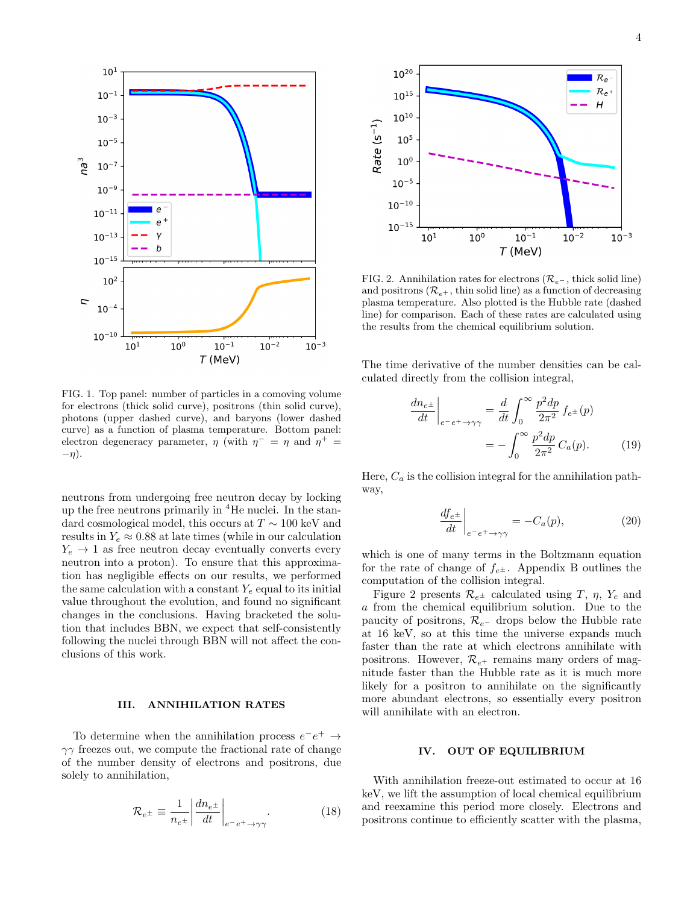

FIG. 1. Top panel: number of particles in a comoving volume for electrons (thick solid curve), positrons (thin solid curve), photons (upper dashed curve), and baryons (lower dashed curve) as a function of plasma temperature. Bottom panel: electron degeneracy parameter,  $\eta$  (with  $\eta^- = \eta$  and  $\eta^+ =$  $-\eta$ ).

neutrons from undergoing free neutron decay by locking up the free neutrons primarily in  ${}^{4}$ He nuclei. In the standard cosmological model, this occurs at  $T \sim 100 \text{ keV}$  and results in  $Y_e \approx 0.88$  at late times (while in our calculation  $Y_e \rightarrow 1$  as free neutron decay eventually converts every neutron into a proton). To ensure that this approximation has negligible effects on our results, we performed the same calculation with a constant  $Y_e$  equal to its initial value throughout the evolution, and found no significant changes in the conclusions. Having bracketed the solution that includes BBN, we expect that self-consistently following the nuclei through BBN will not affect the conclusions of this work.

### III. ANNIHILATION RATES

To determine when the annihilation process  $e^-e^+ \rightarrow$  $\gamma\gamma$  freezes out, we compute the fractional rate of change of the number density of electrons and positrons, due solely to annihilation,

$$
\mathcal{R}_{e^{\pm}} \equiv \frac{1}{n_{e^{\pm}}} \left| \frac{d n_{e^{\pm}}}{d t} \right|_{e^- e^+ \to \gamma\gamma} . \tag{18}
$$



FIG. 2. Annihilation rates for electrons ( $\mathcal{R}_{e}$ , thick solid line) and positrons  $(\mathcal{R}_{e+}, \text{thin solid line})$  as a function of decreasing plasma temperature. Also plotted is the Hubble rate (dashed line) for comparison. Each of these rates are calculated using the results from the chemical equilibrium solution.

The time derivative of the number densities can be calculated directly from the collision integral,

$$
\frac{dn_{e^{\pm}}}{dt}\Big|_{e^{-}e^{+}\to\gamma\gamma} = \frac{d}{dt} \int_{0}^{\infty} \frac{p^2 dp}{2\pi^2} f_{e^{\pm}}(p)
$$

$$
= -\int_{0}^{\infty} \frac{p^2 dp}{2\pi^2} C_a(p). \tag{19}
$$

Here,  $C_a$  is the collision integral for the annihilation pathway,

$$
\left. \frac{df_{e^{\pm}}}{dt} \right|_{e^{-}e^{+} \to \gamma\gamma} = -C_a(p),\tag{20}
$$

which is one of many terms in the Boltzmann equation for the rate of change of  $f_{e^{\pm}}$ . Appendix B outlines the computation of the collision integral.

Figure 2 presents  $\mathcal{R}_{e^{\pm}}$  calculated using T,  $\eta$ , Y<sub>e</sub> and a from the chemical equilibrium solution. Due to the paucity of positrons,  $\mathcal{R}_{e}$ - drops below the Hubble rate at 16 keV, so at this time the universe expands much faster than the rate at which electrons annihilate with positrons. However,  $\mathcal{R}_{e^+}$  remains many orders of magnitude faster than the Hubble rate as it is much more likely for a positron to annihilate on the significantly more abundant electrons, so essentially every positron will annihilate with an electron.

# IV. OUT OF EQUILIBRIUM

With annihilation freeze-out estimated to occur at 16 keV, we lift the assumption of local chemical equilibrium and reexamine this period more closely. Electrons and positrons continue to efficiently scatter with the plasma,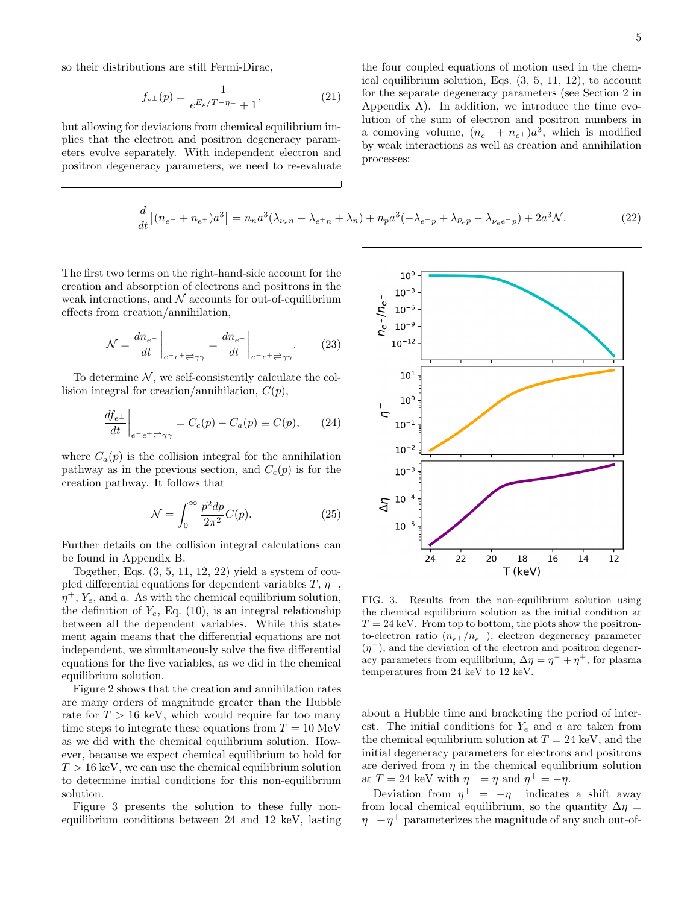so their distributions are still Fermi-Dirac,

$$
f_{e^{\pm}}(p) = \frac{1}{e^{E_p/T - \eta^{\pm}} + 1},
$$
\n(21)

but allowing for deviations from chemical equilibrium implies that the electron and positron degeneracy parameters evolve separately. With independent electron and positron degeneracy parameters, we need to re-evaluate

the four coupled equations of motion used in the chemical equilibrium solution, Eqs. (3, 5, 11, 12), to account for the separate degeneracy parameters (see Section 2 in Appendix A). In addition, we introduce the time evolution of the sum of electron and positron numbers in a comoving volume,  $(n_{e^{-}} + n_{e^{+}})a^{3}$ , which is modified by weak interactions as well as creation and annihilation processes:

$$
\frac{d}{dt}\left[ (n_{e^{-}} + n_{e^{+}})a^{3} \right] = n_{n}a^{3}(\lambda_{\nu_{e}n} - \lambda_{e^{+}n} + \lambda_{n}) + n_{p}a^{3}(-\lambda_{e^{-}p} + \lambda_{\bar{\nu}_{e}p} - \lambda_{\bar{\nu}_{e}e^{-}p}) + 2a^{3}\mathcal{N}.
$$
\n(22)

The first two terms on the right-hand-side account for the creation and absorption of electrons and positrons in the weak interactions, and  $N$  accounts for out-of-equilibrium effects from creation/annihilation,

$$
\mathcal{N} = \frac{dn_{e^{-}}}{dt}\bigg|_{e^{-}e^{+}\rightleftarrows\gamma\gamma} = \frac{dn_{e^{+}}}{dt}\bigg|_{e^{-}e^{+}\rightleftarrows\gamma\gamma}.
$$
 (23)

To determine  $N$ , we self-consistently calculate the collision integral for creation/annihilation,  $C(p)$ ,

$$
\left. \frac{df_{e^{\pm}}}{dt} \right|_{e^-e^+ \rightleftharpoons \gamma\gamma} = C_c(p) - C_a(p) \equiv C(p), \qquad (24)
$$

where  $C_a(p)$  is the collision integral for the annihilation pathway as in the previous section, and  $C_c(p)$  is for the creation pathway. It follows that

$$
\mathcal{N} = \int_0^\infty \frac{p^2 dp}{2\pi^2} C(p). \tag{25}
$$

Further details on the collision integral calculations can be found in Appendix B.

Together, Eqs.  $(3, 5, 11, 12, 22)$  yield a system of coupled differential equations for dependent variables  $T, \eta$ ,  $\eta^+, Y_e$ , and a. As with the chemical equilibrium solution, the definition of  $Y_e$ , Eq. (10), is an integral relationship between all the dependent variables. While this statement again means that the differential equations are not independent, we simultaneously solve the five differential equations for the five variables, as we did in the chemical equilibrium solution.

Figure 2 shows that the creation and annihilation rates are many orders of magnitude greater than the Hubble rate for  $T > 16$  keV, which would require far too many time steps to integrate these equations from  $T = 10$  MeV as we did with the chemical equilibrium solution. However, because we expect chemical equilibrium to hold for  $T > 16$  keV, we can use the chemical equilibrium solution to determine initial conditions for this non-equilibrium solution.

Figure 3 presents the solution to these fully nonequilibrium conditions between 24 and 12 keV, lasting



FIG. 3. Results from the non-equilibrium solution using the chemical equilibrium solution as the initial condition at  $T = 24$  keV. From top to bottom, the plots show the positronto-electron ratio  $(n_{e+}/n_{e-})$ , electron degeneracy parameter  $(\eta^-)$ , and the deviation of the electron and positron degeneracy parameters from equilibrium,  $\Delta \eta = \eta^- + \eta^+$ , for plasma temperatures from 24 keV to 12 keV.

about a Hubble time and bracketing the period of interest. The initial conditions for  $Y_e$  and a are taken from the chemical equilibrium solution at  $T = 24 \text{ keV}$ , and the initial degeneracy parameters for electrons and positrons are derived from  $\eta$  in the chemical equilibrium solution at  $T = 24$  keV with  $\eta^- = \eta$  and  $\eta^+ = -\eta$ .

Deviation from  $\eta^+ = -\eta^-$  indicates a shift away from local chemical equilibrium, so the quantity  $\Delta \eta =$  $\eta^{-} + \eta^{+}$  parameterizes the magnitude of any such out-of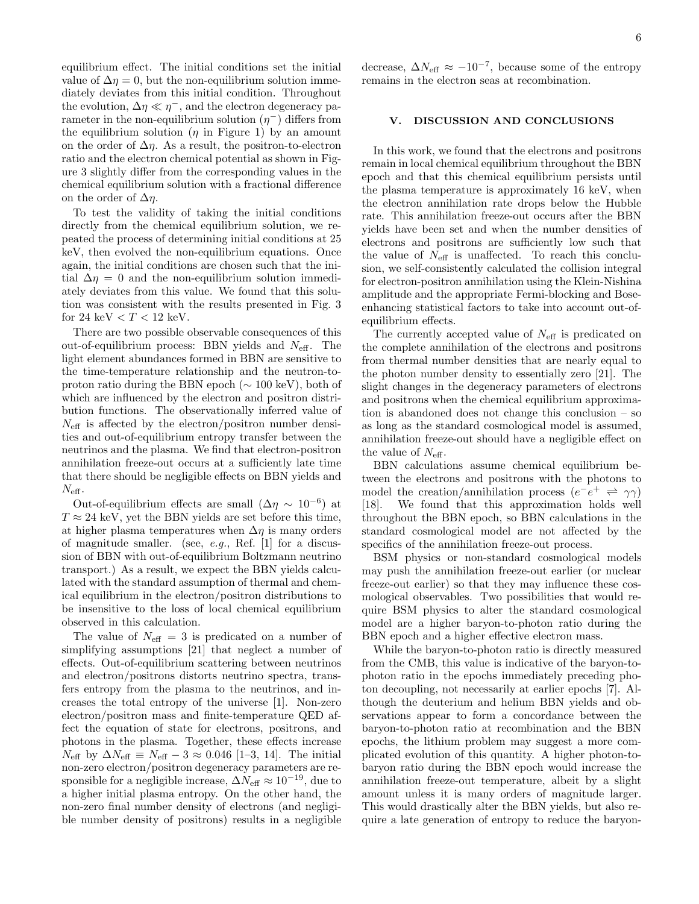equilibrium effect. The initial conditions set the initial value of  $\Delta \eta = 0$ , but the non-equilibrium solution immediately deviates from this initial condition. Throughout the evolution,  $\Delta \eta \ll \eta^{-1}$ , and the electron degeneracy parameter in the non-equilibrium solution  $(\eta^-)$  differs from the equilibrium solution  $(\eta$  in Figure 1) by an amount on the order of  $\Delta \eta$ . As a result, the positron-to-electron ratio and the electron chemical potential as shown in Figure 3 slightly differ from the corresponding values in the chemical equilibrium solution with a fractional difference on the order of  $\Delta \eta$ .

To test the validity of taking the initial conditions directly from the chemical equilibrium solution, we repeated the process of determining initial conditions at 25 keV, then evolved the non-equilibrium equations. Once again, the initial conditions are chosen such that the initial  $\Delta \eta = 0$  and the non-equilibrium solution immediately deviates from this value. We found that this solution was consistent with the results presented in Fig. 3 for 24 keV  $< T < 12$  keV.

There are two possible observable consequences of this out-of-equilibrium process: BBN yields and  $N_{\text{eff}}$ . The light element abundances formed in BBN are sensitive to the time-temperature relationship and the neutron-toproton ratio during the BBN epoch ( $\sim 100 \text{ keV}$ ), both of which are influenced by the electron and positron distribution functions. The observationally inferred value of  $N_{\text{eff}}$  is affected by the electron/positron number densities and out-of-equilibrium entropy transfer between the neutrinos and the plasma. We find that electron-positron annihilation freeze-out occurs at a sufficiently late time that there should be negligible effects on BBN yields and  $N_{\text{eff}}$ .

Out-of-equilibrium effects are small  $(\Delta \eta \sim 10^{-6})$  at  $T \approx 24$  keV, yet the BBN yields are set before this time, at higher plasma temperatures when  $\Delta \eta$  is many orders of magnitude smaller. (see, e.g., Ref. [1] for a discussion of BBN with out-of-equilibrium Boltzmann neutrino transport.) As a result, we expect the BBN yields calculated with the standard assumption of thermal and chemical equilibrium in the electron/positron distributions to be insensitive to the loss of local chemical equilibrium observed in this calculation.

The value of  $N_{\text{eff}} = 3$  is predicated on a number of simplifying assumptions [21] that neglect a number of effects. Out-of-equilibrium scattering between neutrinos and electron/positrons distorts neutrino spectra, transfers entropy from the plasma to the neutrinos, and increases the total entropy of the universe [1]. Non-zero electron/positron mass and finite-temperature QED affect the equation of state for electrons, positrons, and photons in the plasma. Together, these effects increase  $N_{\text{eff}}$  by  $\Delta N_{\text{eff}} \equiv N_{\text{eff}} - 3 \approx 0.046$  [1–3, 14]. The initial non-zero electron/positron degeneracy parameters are responsible for a negligible increase,  $\Delta N_{\text{eff}} \approx 10^{-19}$ , due to a higher initial plasma entropy. On the other hand, the non-zero final number density of electrons (and negligible number density of positrons) results in a negligible

decrease,  $\Delta N_{\text{eff}} \approx -10^{-7}$ , because some of the entropy remains in the electron seas at recombination.

# V. DISCUSSION AND CONCLUSIONS

In this work, we found that the electrons and positrons remain in local chemical equilibrium throughout the BBN epoch and that this chemical equilibrium persists until the plasma temperature is approximately 16 keV, when the electron annihilation rate drops below the Hubble rate. This annihilation freeze-out occurs after the BBN yields have been set and when the number densities of electrons and positrons are sufficiently low such that the value of  $N_{\text{eff}}$  is unaffected. To reach this conclusion, we self-consistently calculated the collision integral for electron-positron annihilation using the Klein-Nishina amplitude and the appropriate Fermi-blocking and Boseenhancing statistical factors to take into account out-ofequilibrium effects.

The currently accepted value of  $N_{\text{eff}}$  is predicated on the complete annihilation of the electrons and positrons from thermal number densities that are nearly equal to the photon number density to essentially zero [21]. The slight changes in the degeneracy parameters of electrons and positrons when the chemical equilibrium approximation is abandoned does not change this conclusion – so as long as the standard cosmological model is assumed, annihilation freeze-out should have a negligible effect on the value of  $N_{\text{eff}}$ .

BBN calculations assume chemical equilibrium between the electrons and positrons with the photons to model the creation/annihilation process  $(e^-e^+ \Rightarrow \gamma\gamma)$ [18]. We found that this approximation holds well throughout the BBN epoch, so BBN calculations in the standard cosmological model are not affected by the specifics of the annihilation freeze-out process.

BSM physics or non-standard cosmological models may push the annihilation freeze-out earlier (or nuclear freeze-out earlier) so that they may influence these cosmological observables. Two possibilities that would require BSM physics to alter the standard cosmological model are a higher baryon-to-photon ratio during the BBN epoch and a higher effective electron mass.

While the baryon-to-photon ratio is directly measured from the CMB, this value is indicative of the baryon-tophoton ratio in the epochs immediately preceding photon decoupling, not necessarily at earlier epochs [7]. Although the deuterium and helium BBN yields and observations appear to form a concordance between the baryon-to-photon ratio at recombination and the BBN epochs, the lithium problem may suggest a more complicated evolution of this quantity. A higher photon-tobaryon ratio during the BBN epoch would increase the annihilation freeze-out temperature, albeit by a slight amount unless it is many orders of magnitude larger. This would drastically alter the BBN yields, but also require a late generation of entropy to reduce the baryon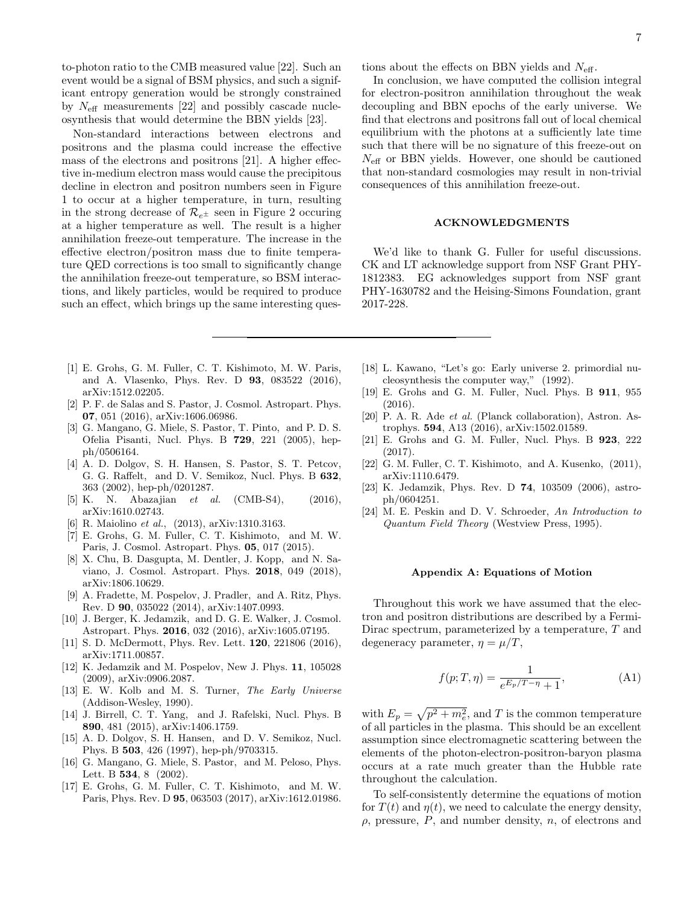to-photon ratio to the CMB measured value [22]. Such an event would be a signal of BSM physics, and such a significant entropy generation would be strongly constrained by  $N_{\text{eff}}$  measurements [22] and possibly cascade nucleosynthesis that would determine the BBN yields [23].

Non-standard interactions between electrons and positrons and the plasma could increase the effective mass of the electrons and positrons [21]. A higher effective in-medium electron mass would cause the precipitous decline in electron and positron numbers seen in Figure 1 to occur at a higher temperature, in turn, resulting in the strong decrease of  $\mathcal{R}_{e^{\pm}}$  seen in Figure 2 occuring at a higher temperature as well. The result is a higher annihilation freeze-out temperature. The increase in the effective electron/positron mass due to finite temperature QED corrections is too small to significantly change the annihilation freeze-out temperature, so BSM interactions, and likely particles, would be required to produce such an effect, which brings up the same interesting ques-

- [1] E. Grohs, G. M. Fuller, C. T. Kishimoto, M. W. Paris, and A. Vlasenko, Phys. Rev. D 93, 083522 (2016), arXiv:1512.02205.
- [2] P. F. de Salas and S. Pastor, J. Cosmol. Astropart. Phys. 07, 051 (2016), arXiv:1606.06986.
- [3] G. Mangano, G. Miele, S. Pastor, T. Pinto, and P. D. S. Ofelia Pisanti, Nucl. Phys. B 729, 221 (2005), hepph/0506164.
- [4] A. D. Dolgov, S. H. Hansen, S. Pastor, S. T. Petcov, G. G. Raffelt, and D. V. Semikoz, Nucl. Phys. B 632, 363 (2002), hep-ph/0201287.
- [5] K. N. Abazajian et al. (CMB-S4), (2016), arXiv:1610.02743.
- [6] R. Maiolino et al., (2013), arXiv:1310.3163.
- [7] E. Grohs, G. M. Fuller, C. T. Kishimoto, and M. W. Paris, J. Cosmol. Astropart. Phys. 05, 017 (2015).
- [8] X. Chu, B. Dasgupta, M. Dentler, J. Kopp, and N. Saviano, J. Cosmol. Astropart. Phys. 2018, 049 (2018), arXiv:1806.10629.
- [9] A. Fradette, M. Pospelov, J. Pradler, and A. Ritz, Phys. Rev. D 90, 035022 (2014), arXiv:1407.0993.
- [10] J. Berger, K. Jedamzik, and D. G. E. Walker, J. Cosmol. Astropart. Phys. 2016, 032 (2016), arXiv:1605.07195.
- [11] S. D. McDermott, Phys. Rev. Lett. 120, 221806 (2016), arXiv:1711.00857.
- [12] K. Jedamzik and M. Pospelov, New J. Phys. 11, 105028 (2009), arXiv:0906.2087.
- [13] E. W. Kolb and M. S. Turner, The Early Universe (Addison-Wesley, 1990).
- [14] J. Birrell, C. T. Yang, and J. Rafelski, Nucl. Phys. B 890, 481 (2015), arXiv:1406.1759.
- [15] A. D. Dolgov, S. H. Hansen, and D. V. Semikoz, Nucl. Phys. B 503, 426 (1997), hep-ph/9703315.
- [16] G. Mangano, G. Miele, S. Pastor, and M. Peloso, Phys. Lett. B **534**, 8 (2002).
- [17] E. Grohs, G. M. Fuller, C. T. Kishimoto, and M. W. Paris, Phys. Rev. D 95, 063503 (2017), arXiv:1612.01986.

tions about the effects on BBN yields and  $N_{\text{eff}}$ .

In conclusion, we have computed the collision integral for electron-positron annihilation throughout the weak decoupling and BBN epochs of the early universe. We find that electrons and positrons fall out of local chemical equilibrium with the photons at a sufficiently late time such that there will be no signature of this freeze-out on  $N_{\text{eff}}$  or BBN yields. However, one should be cautioned that non-standard cosmologies may result in non-trivial consequences of this annihilation freeze-out.

### ACKNOWLEDGMENTS

We'd like to thank G. Fuller for useful discussions. CK and LT acknowledge support from NSF Grant PHY-1812383. EG acknowledges support from NSF grant PHY-1630782 and the Heising-Simons Foundation, grant 2017-228.

- [18] L. Kawano, "Let's go: Early universe 2. primordial nucleosynthesis the computer way," (1992).
- [19] E. Grohs and G. M. Fuller, Nucl. Phys. B 911, 955 (2016).
- [20] P. A. R. Ade et al. (Planck collaboration), Astron. Astrophys. 594, A13 (2016), arXiv:1502.01589.
- [21] E. Grohs and G. M. Fuller, Nucl. Phys. B 923, 222 (2017).
- [22] G. M. Fuller, C. T. Kishimoto, and A. Kusenko, (2011), arXiv:1110.6479.
- [23] K. Jedamzik, Phys. Rev. D 74, 103509 (2006), astroph/0604251.
- [24] M. E. Peskin and D. V. Schroeder, An Introduction to Quantum Field Theory (Westview Press, 1995).

### Appendix A: Equations of Motion

Throughout this work we have assumed that the electron and positron distributions are described by a Fermi-Dirac spectrum, parameterized by a temperature, T and degeneracy parameter,  $\eta = \mu/T$ ,

$$
f(p;T,\eta) = \frac{1}{e^{E_p/T - \eta} + 1},
$$
 (A1)

with  $E_p = \sqrt{p^2 + m_e^2}$ , and T is the common temperature of all particles in the plasma. This should be an excellent assumption since electromagnetic scattering between the elements of the photon-electron-positron-baryon plasma occurs at a rate much greater than the Hubble rate throughout the calculation.

To self-consistently determine the equations of motion for  $T(t)$  and  $\eta(t)$ , we need to calculate the energy density,  $\rho$ , pressure,  $P$ , and number density,  $n$ , of electrons and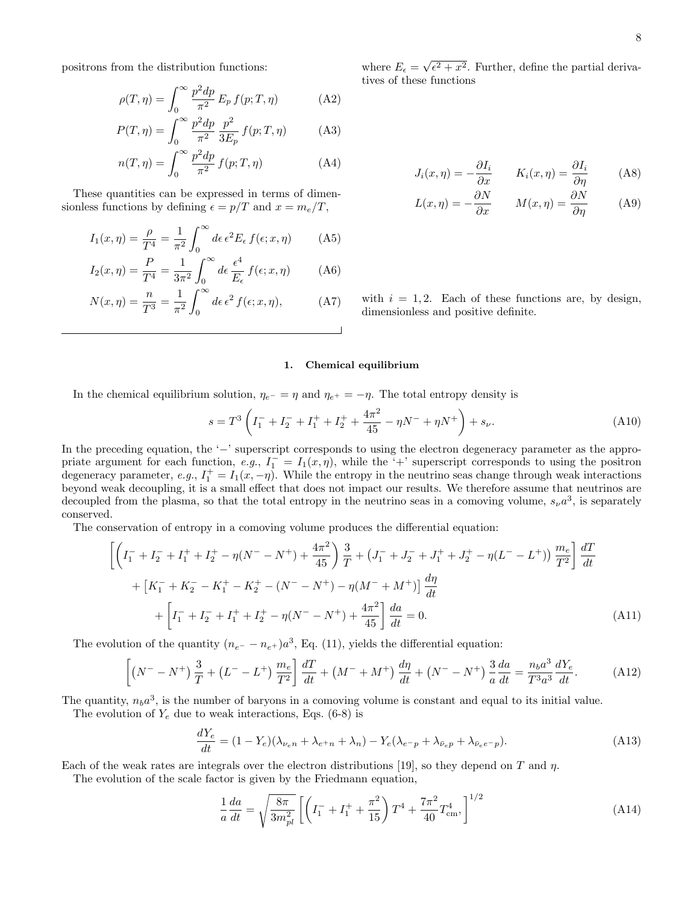positrons from the distribution functions:

$$
\rho(T,\eta) = \int_0^\infty \frac{p^2 dp}{\pi^2} E_p f(p;T,\eta) \tag{A2}
$$

$$
P(T, \eta) = \int_0^\infty \frac{p^2 dp}{\pi^2} \frac{p^2}{3E_p} f(p; T, \eta)
$$
 (A3)

$$
n(T, \eta) = \int_0^\infty \frac{p^2 dp}{\pi^2} f(p; T, \eta)
$$
 (A4)

These quantities can be expressed in terms of dimensionless functions by defining  $\epsilon = p/T$  and  $x = m_e/T$ ,

$$
I_1(x,\eta) = \frac{\rho}{T^4} = \frac{1}{\pi^2} \int_0^\infty d\epsilon \,\epsilon^2 E_\epsilon \, f(\epsilon; x, \eta) \tag{A5}
$$

$$
I_2(x,\eta) = \frac{P}{T^4} = \frac{1}{3\pi^2} \int_0^\infty d\epsilon \, \frac{\epsilon^4}{E_\epsilon} \, f(\epsilon; x, \eta) \tag{A6}
$$

$$
N(x,\eta) = \frac{n}{T^3} = \frac{1}{\pi^2} \int_0^\infty d\epsilon \,\epsilon^2 f(\epsilon; x, \eta), \tag{A7}
$$

where  $E_{\epsilon} =$ √  $\epsilon^2 + x^2$ . Further, define the partial derivatives of these functions

$$
J_i(x,\eta) = -\frac{\partial I_i}{\partial x} \qquad K_i(x,\eta) = \frac{\partial I_i}{\partial \eta} \qquad (A8)
$$

$$
L(x,\eta) = -\frac{\partial N}{\partial x} \qquad M(x,\eta) = \frac{\partial N}{\partial \eta} \tag{A9}
$$

with  $i = 1, 2$ . Each of these functions are, by design, dimensionless and positive definite.

# 1. Chemical equilibrium

In the chemical equilibrium solution,  $\eta_{e^-} = \eta$  and  $\eta_{e^+} = -\eta$ . The total entropy density is

$$
s = T3 \left( I_1^- + I_2^- + I_1^+ + I_2^+ + \frac{4\pi^2}{45} - \eta N^- + \eta N^+ \right) + s_{\nu}.
$$
 (A10)

In the preceding equation, the '−' superscript corresponds to using the electron degeneracy parameter as the appropriate argument for each function, e.g.,  $I_1 = I_1(x, \eta)$ , while the '+' superscript corresponds to using the positron degeneracy parameter, e.g.,  $I_1^+ = I_1(x, -\eta)$ . While the entropy in the neutrino seas change through weak interactions beyond weak decoupling, it is a small effect that does not impact our results. We therefore assume that neutrinos are decoupled from the plasma, so that the total entropy in the neutrino seas in a comoving volume,  $s_{\nu}a^3$ , is separately conserved.

The conservation of entropy in a comoving volume produces the differential equation:

$$
\left[ \left( I_1^- + I_2^- + I_1^+ + I_2^+ - \eta (N^- - N^+) + \frac{4\pi^2}{45} \right) \frac{3}{T} + \left( J_1^- + J_2^- + J_1^+ + J_2^+ - \eta (L^- - L^+) \right) \frac{m_e}{T^2} \right] \frac{dT}{dt}
$$
  
+ 
$$
\left[ K_1^- + K_2^- - K_1^+ - K_2^+ - (N^- - N^+) - \eta (M^- + M^+) \right] \frac{d\eta}{dt}
$$
  
+ 
$$
\left[ I_1^- + I_2^- + I_1^+ + I_2^+ - \eta (N^- - N^+) + \frac{4\pi^2}{45} \right] \frac{da}{dt} = 0.
$$
 (A11)

The evolution of the quantity  $(n_{e^-} - n_{e^+})a^3$ , Eq. (11), yields the differential equation:

$$
\left[ \left( N^- - N^+ \right) \frac{3}{T} + \left( L^- - L^+ \right) \frac{m_e}{T^2} \right] \frac{dT}{dt} + \left( M^- + M^+ \right) \frac{d\eta}{dt} + \left( N^- - N^+ \right) \frac{3}{a} \frac{da}{dt} = \frac{n_b a^3}{T^3 a^3} \frac{dY_e}{dt}.
$$
 (A12)

The quantity,  $n_b a^3$ , is the number of baryons in a comoving volume is constant and equal to its initial value. The evolution of  $Y_e$  due to weak interactions, Eqs. (6-8) is

$$
\frac{dY_e}{dt} = (1 - Y_e)(\lambda_{\nu_e n} + \lambda_{e^+ n} + \lambda_n) - Y_e(\lambda_{e^- p} + \lambda_{\bar{\nu}_e p} + \lambda_{\bar{\nu}_e e^- p}).
$$
\n(A13)

Each of the weak rates are integrals over the electron distributions [19], so they depend on T and  $\eta$ .

The evolution of the scale factor is given by the Friedmann equation,

$$
\frac{1}{a}\frac{da}{dt} = \sqrt{\frac{8\pi}{3m_{pl}^2}} \left[ \left( I_1^- + I_1^+ + \frac{\pi^2}{15} \right) T^4 + \frac{7\pi^2}{40} T_{\text{cm}}^4 \right]^{1/2} \tag{A14}
$$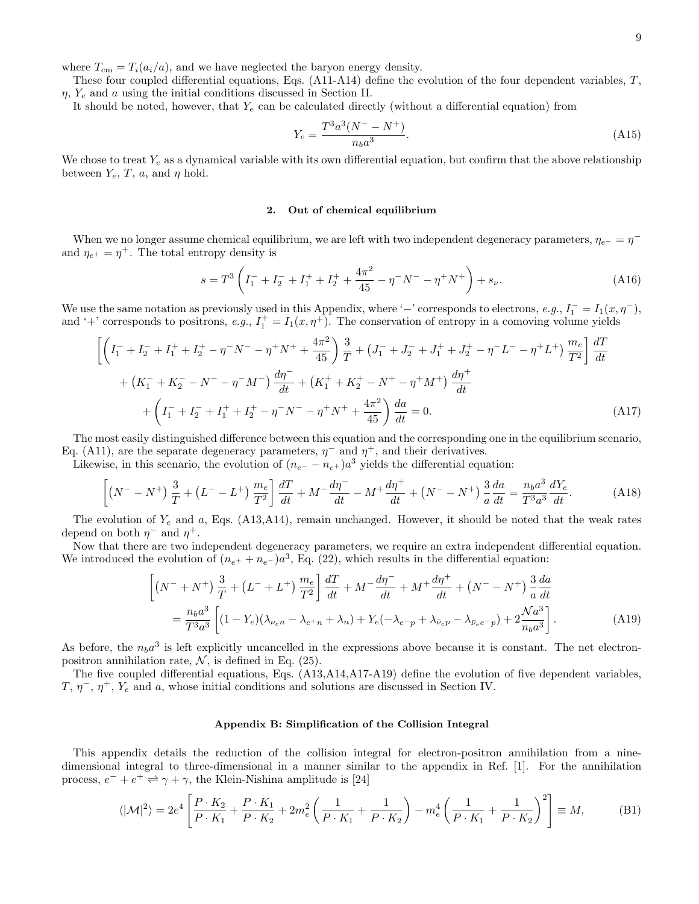where  $T_{\text{cm}} = T_i(a_i/a)$ , and we have neglected the baryon energy density.

These four coupled differential equations, Eqs.  $(A11-A14)$  define the evolution of the four dependent variables,  $T$ ,  $\eta$ ,  $Y_e$  and a using the initial conditions discussed in Section II.

It should be noted, however, that  $Y_e$  can be calculated directly (without a differential equation) from

$$
Y_e = \frac{T^3 a^3 (N^- - N^+)}{n_b a^3}.
$$
\n(A15)

We chose to treat  $Y_e$  as a dynamical variable with its own differential equation, but confirm that the above relationship between  $Y_e$ , T, a, and  $\eta$  hold.

### 2. Out of chemical equilibrium

When we no longer assume chemical equilibrium, we are left with two independent degeneracy parameters,  $\eta_{e-} = \eta^$ and  $\eta_{e^+} = \eta^+$ . The total entropy density is

$$
s = T^{3} \left( I_{1}^{-} + I_{2}^{-} + I_{1}^{+} + I_{2}^{+} + \frac{4\pi^{2}}{45} - \eta^{-} N^{-} - \eta^{+} N^{+} \right) + s_{\nu}.
$$
 (A16)

We use the same notation as previously used in this Appendix, where '−' corresponds to electrons, e.g.,  $I_1^- = I_1(x, \eta^-)$ , and '+' corresponds to positrons, e.g.,  $I_1^+ = I_1(x, \eta^+)$ . The conservation of entropy in a comoving volume yields

$$
\left[ \left( I_1^- + I_2^- + I_1^+ + I_2^+ - \eta^- N^- - \eta^+ N^+ + \frac{4\pi^2}{45} \right) \frac{3}{T} + \left( J_1^- + J_2^- + J_1^+ + J_2^+ - \eta^- L^- - \eta^+ L^+ \right) \frac{m_e}{T^2} \right] \frac{dT}{dt}
$$
  
+ 
$$
\left( K_1^- + K_2^- - N^- - \eta^- M^- \right) \frac{d\eta^-}{dt} + \left( K_1^+ + K_2^+ - N^+ - \eta^+ M^+ \right) \frac{d\eta^+}{dt}
$$
  
+ 
$$
\left( I_1^- + I_2^- + I_1^+ + I_2^+ - \eta^- N^- - \eta^+ N^+ + \frac{4\pi^2}{45} \right) \frac{da}{dt} = 0.
$$
 (A17)

The most easily distinguished difference between this equation and the corresponding one in the equilibrium scenario, Eq. (A11), are the separate degeneracy parameters,  $\eta^-$  and  $\eta^+$ , and their derivatives.

Likewise, in this scenario, the evolution of  $(n_{e^-} - n_{e^+})a^3$  yields the differential equation:

$$
\left[ \left( N^- - N^+ \right) \frac{3}{T} + \left( L^- - L^+ \right) \frac{m_e}{T^2} \right] \frac{dT}{dt} + M^- \frac{d\eta^-}{dt} - M^+ \frac{d\eta^+}{dt} + \left( N^- - N^+ \right) \frac{3}{a} \frac{da}{dt} = \frac{n_b a^3}{T^3 a^3} \frac{dY_e}{dt}.
$$
 (A18)

The evolution of  $Y_e$  and a, Eqs. (A13,A14), remain unchanged. However, it should be noted that the weak rates depend on both  $\eta^-$  and  $\eta^+$ .

Now that there are two independent degeneracy parameters, we require an extra independent differential equation. We introduced the evolution of  $(n_{e^+} + n_{e^-})a^3$ , Eq. (22), which results in the differential equation:

$$
\left[ \left( N^{-} + N^{+} \right) \frac{3}{T} + \left( L^{-} + L^{+} \right) \frac{m_{e}}{T^{2}} \right] \frac{dT}{dt} + M^{-} \frac{d\eta^{-}}{dt} + M^{+} \frac{d\eta^{+}}{dt} + \left( N^{-} - N^{+} \right) \frac{3}{a} \frac{da}{dt}
$$
\n
$$
= \frac{n_{b}a^{3}}{T^{3}a^{3}} \left[ (1 - Y_{e})(\lambda_{\nu_{e}n} - \lambda_{e^{+}n} + \lambda_{n}) + Y_{e}(-\lambda_{e^{-}p} + \lambda_{\bar{\nu}_{e}p} - \lambda_{\bar{\nu}_{e}e^{-}p}) + 2 \frac{\mathcal{N}a^{3}}{n_{b}a^{3}} \right]. \tag{A19}
$$

As before, the  $n_b a^3$  is left explicitly uncancelled in the expressions above because it is constant. The net electronpositron annihilation rate,  $\mathcal{N}$ , is defined in Eq. (25).

The five coupled differential equations, Eqs. (A13,A14,A17-A19) define the evolution of five dependent variables,  $T, \eta^-, \eta^+, Y_e$  and a, whose initial conditions and solutions are discussed in Section IV.

# Appendix B: Simplification of the Collision Integral

This appendix details the reduction of the collision integral for electron-positron annihilation from a ninedimensional integral to three-dimensional in a manner similar to the appendix in Ref. [1]. For the annihilation process,  $e^- + e^+ \rightleftharpoons \gamma + \gamma$ , the Klein-Nishina amplitude is [24]

$$
\langle |\mathcal{M}|^2 \rangle = 2e^4 \left[ \frac{P \cdot K_2}{P \cdot K_1} + \frac{P \cdot K_1}{P \cdot K_2} + 2m_e^2 \left( \frac{1}{P \cdot K_1} + \frac{1}{P \cdot K_2} \right) - m_e^4 \left( \frac{1}{P \cdot K_1} + \frac{1}{P \cdot K_2} \right)^2 \right] \equiv M,\tag{B1}
$$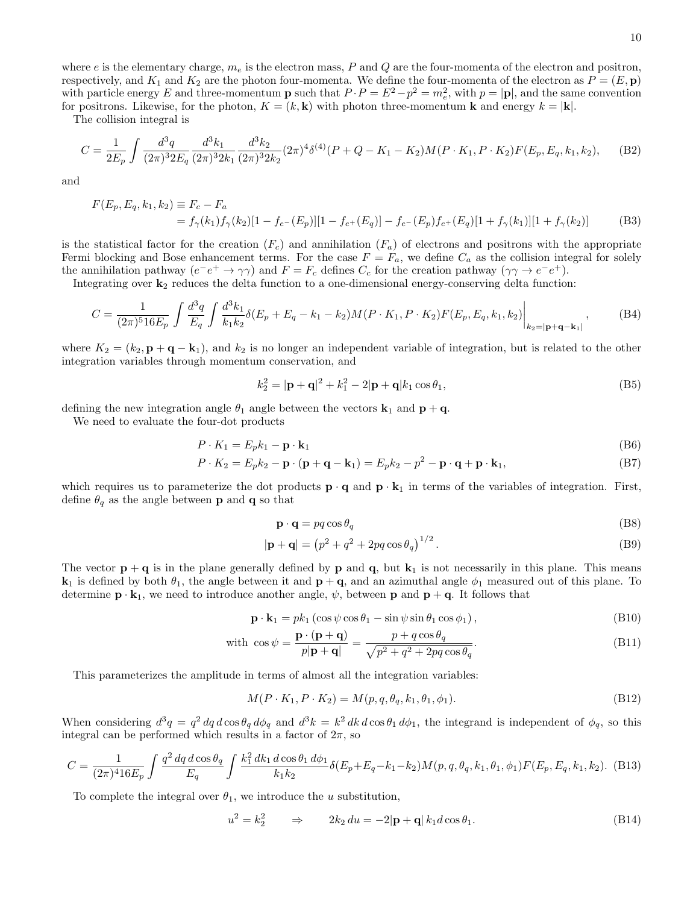where  $e$  is the elementary charge,  $m_e$  is the electron mass,  $P$  and  $Q$  are the four-momenta of the electron and positron, respectively, and  $K_1$  and  $K_2$  are the photon four-momenta. We define the four-momenta of the electron as  $P = (E, \mathbf{p})$ with particle energy E and three-momentum **p** such that  $P \cdot P = E^2 - p^2 = m_e^2$ , with  $p = |\mathbf{p}|$ , and the same convention for positrons. Likewise, for the photon,  $K = (k, \mathbf{k})$  with photon three-momentum **k** and energy  $k = |\mathbf{k}|$ .

The collision integral is

$$
C = \frac{1}{2E_p} \int \frac{d^3q}{(2\pi)^3 2E_q} \frac{d^3k_1}{(2\pi)^3 2k_1} \frac{d^3k_2}{(2\pi)^3 2k_2} (2\pi)^4 \delta^{(4)}(P + Q - K_1 - K_2) M(P \cdot K_1, P \cdot K_2) F(E_p, E_q, k_1, k_2), \tag{B2}
$$

and

$$
F(E_p, E_q, k_1, k_2) \equiv F_c - F_a
$$
  
=  $f_\gamma(k_1) f_\gamma(k_2) [1 - f_{e^-}(E_p)][1 - f_{e^+}(E_q)] - f_{e^-}(E_p) f_{e^+}(E_q)[1 + f_\gamma(k_1)][1 + f_\gamma(k_2)]$  (B3)

is the statistical factor for the creation  $(F_c)$  and annihilation  $(F_a)$  of electrons and positrons with the appropriate Fermi blocking and Bose enhancement terms. For the case  $F = F_a$ , we define  $C_a$  as the collision integral for solely the annihilation pathway  $(e^-e^+ \to \gamma\gamma)$  and  $F = F_c$  defines  $C_c$  for the creation pathway  $(\gamma\gamma \to e^-e^+)$ .

Integrating over  $\mathbf{k}_2$  reduces the delta function to a one-dimensional energy-conserving delta function:

$$
C = \frac{1}{(2\pi)^5 16E_p} \int \frac{d^3q}{E_q} \int \frac{d^3k_1}{k_1k_2} \delta(E_p + E_q - k_1 - k_2) M(P \cdot K_1, P \cdot K_2) F(E_p, E_q, k_1, k_2) \Big|_{k_2 = |\mathbf{p} + \mathbf{q} - \mathbf{k}_1|},\tag{B4}
$$

where  $K_2 = (k_2, \mathbf{p} + \mathbf{q} - \mathbf{k}_1)$ , and  $k_2$  is no longer an independent variable of integration, but is related to the other integration variables through momentum conservation, and

$$
k_2^2 = |\mathbf{p} + \mathbf{q}|^2 + k_1^2 - 2|\mathbf{p} + \mathbf{q}|k_1 \cos \theta_1,
$$
 (B5)

defining the new integration angle  $\theta_1$  angle between the vectors  $\mathbf{k}_1$  and  $\mathbf{p} + \mathbf{q}$ .

We need to evaluate the four-dot products

$$
P \cdot K_1 = E_p k_1 - \mathbf{p} \cdot \mathbf{k}_1 \tag{B6}
$$

$$
P \cdot K_2 = E_p k_2 - \mathbf{p} \cdot (\mathbf{p} + \mathbf{q} - \mathbf{k}_1) = E_p k_2 - p^2 - \mathbf{p} \cdot \mathbf{q} + \mathbf{p} \cdot \mathbf{k}_1,
$$
\n(B7)

which requires us to parameterize the dot products  $\mathbf{p} \cdot \mathbf{q}$  and  $\mathbf{p} \cdot \mathbf{k}_1$  in terms of the variables of integration. First, define  $\theta_q$  as the angle between **p** and **q** so that

$$
\mathbf{p} \cdot \mathbf{q} = pq \cos \theta_q \tag{B8}
$$

$$
|\mathbf{p} + \mathbf{q}| = (p^2 + q^2 + 2pq \cos \theta_q)^{1/2}.
$$
 (B9)

The vector  $p + q$  is in the plane generally defined by p and q, but  $k_1$  is not necessarily in this plane. This means  $k_1$  is defined by both  $\theta_1$ , the angle between it and  $p + q$ , and an azimuthal angle  $\phi_1$  measured out of this plane. To determine  $\mathbf{p} \cdot \mathbf{k}_1$ , we need to introduce another angle,  $\psi$ , between  $\mathbf{p}$  and  $\mathbf{p} + \mathbf{q}$ . It follows that

$$
\mathbf{p} \cdot \mathbf{k}_1 = p k_1 \left( \cos \psi \cos \theta_1 - \sin \psi \sin \theta_1 \cos \phi_1 \right),\tag{B10}
$$

with 
$$
\cos \psi = \frac{\mathbf{p} \cdot (\mathbf{p} + \mathbf{q})}{p|\mathbf{p} + \mathbf{q}|} = \frac{p + q \cos \theta_q}{\sqrt{p^2 + q^2 + 2pq \cos \theta_q}}.
$$
 (B11)

This parameterizes the amplitude in terms of almost all the integration variables:

$$
M(P \cdot K_1, P \cdot K_2) = M(p, q, \theta_q, k_1, \theta_1, \phi_1).
$$
\n(B12)

When considering  $d^3q = q^2 dq d\cos\theta_q d\phi_q$  and  $d^3k = k^2 dk d\cos\theta_1 d\phi_1$ , the integrand is independent of  $\phi_q$ , so this integral can be performed which results in a factor of  $2\pi$ , so

$$
C = \frac{1}{(2\pi)^4 16E_p} \int \frac{q^2 dq d\cos\theta_q}{E_q} \int \frac{k_1^2 dk_1 d\cos\theta_1 d\phi_1}{k_1 k_2} \delta(E_p + E_q - k_1 - k_2) M(p, q, \theta_q, k_1, \theta_1, \phi_1) F(E_p, E_q, k_1, k_2). \tag{B13}
$$

To complete the integral over  $\theta_1$ , we introduce the u substitution,

$$
u^2 = k_2^2 \qquad \Rightarrow \qquad 2k_2 \, du = -2|\mathbf{p} + \mathbf{q}| \, k_1 d \cos \theta_1. \tag{B14}
$$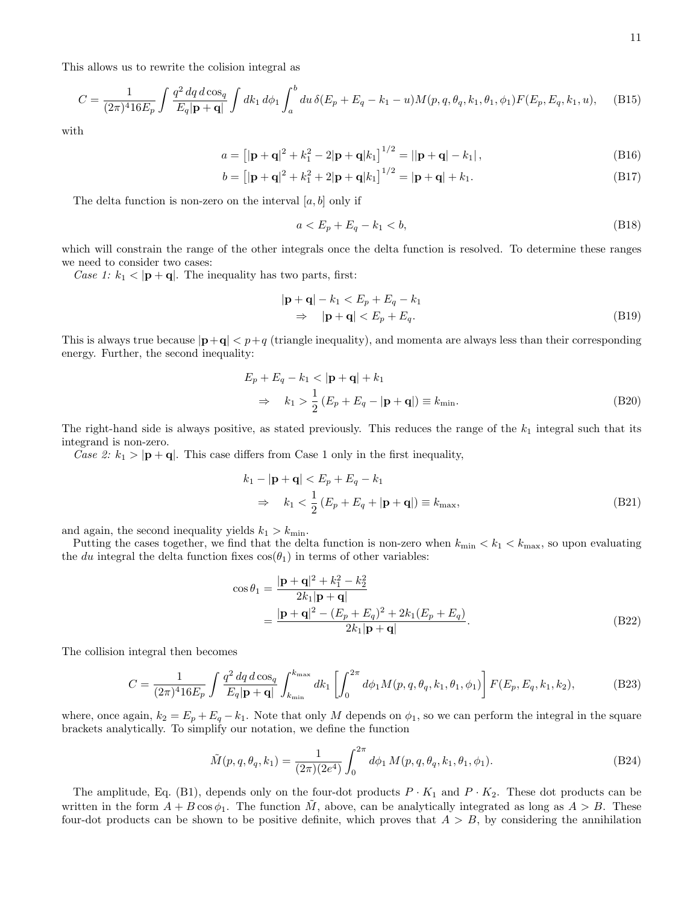$$
C = \frac{1}{(2\pi)^4 16E_p} \int \frac{q^2 dq \, d\cos_q}{E_q |\mathbf{p} + \mathbf{q}|} \int dk_1 \, d\phi_1 \int_a^b du \, \delta(E_p + E_q - k_1 - u) M(p, q, \theta_q, k_1, \theta_1, \phi_1) F(E_p, E_q, k_1, u), \quad (B15)
$$

with

$$
a = \left[|\mathbf{p} + \mathbf{q}|^2 + k_1^2 - 2|\mathbf{p} + \mathbf{q}|k_1\right]^{1/2} = ||\mathbf{p} + \mathbf{q}| - k_1|,
$$
\n(B16)

$$
b = [|\mathbf{p} + \mathbf{q}|^2 + k_1^2 + 2|\mathbf{p} + \mathbf{q}|k_1]^{1/2} = |\mathbf{p} + \mathbf{q}| + k_1.
$$
 (B17)

The delta function is non-zero on the interval  $[a, b]$  only if

$$
a < E_p + E_q - k_1 < b,\tag{B18}
$$

which will constrain the range of the other integrals once the delta function is resolved. To determine these ranges we need to consider two cases:

Case 1:  $k_1 < |{\bf p} + {\bf q}|$ . The inequality has two parts, first:

$$
|\mathbf{p} + \mathbf{q}| - k_1 < E_p + E_q - k_1
$$
\n
$$
\Rightarrow |\mathbf{p} + \mathbf{q}| < E_p + E_q. \tag{B19}
$$

This is always true because  $|\mathbf{p}+\mathbf{q}| < p+q$  (triangle inequality), and momenta are always less than their corresponding energy. Further, the second inequality:

$$
E_p + E_q - k_1 < |\mathbf{p} + \mathbf{q}| + k_1
$$
\n
$$
\Rightarrow \quad k_1 > \frac{1}{2} \left( E_p + E_q - |\mathbf{p} + \mathbf{q}| \right) \equiv k_{\text{min}}.\tag{B20}
$$

The right-hand side is always positive, as stated previously. This reduces the range of the  $k_1$  integral such that its integrand is non-zero.

Case 2:  $k_1 > |\mathbf{p} + \mathbf{q}|$ . This case differs from Case 1 only in the first inequality,

$$
k_1 - |\mathbf{p} + \mathbf{q}| < E_p + E_q - k_1
$$
\n
$$
\Rightarrow \quad k_1 < \frac{1}{2} \left( E_p + E_q + |\mathbf{p} + \mathbf{q}| \right) \equiv k_{\text{max}},\tag{B21}
$$

and again, the second inequality yields  $k_1 > k_{\text{min}}$ .

Putting the cases together, we find that the delta function is non-zero when  $k_{\min} < k_1 < k_{\max}$ , so upon evaluating the du integral the delta function fixes  $cos(\theta_1)$  in terms of other variables:

$$
\cos \theta_1 = \frac{|\mathbf{p} + \mathbf{q}|^2 + k_1^2 - k_2^2}{2k_1|\mathbf{p} + \mathbf{q}|} \n= \frac{|\mathbf{p} + \mathbf{q}|^2 - (E_p + E_q)^2 + 2k_1(E_p + E_q)}{2k_1|\mathbf{p} + \mathbf{q}|}.
$$
\n(B22)

The collision integral then becomes

$$
C = \frac{1}{(2\pi)^4 16E_p} \int \frac{q^2 dq \, d\cos_q}{E_q |\mathbf{p} + \mathbf{q}|} \int_{k_{\min}}^{k_{\max}} dk_1 \left[ \int_0^{2\pi} d\phi_1 M(p, q, \theta_q, k_1, \theta_1, \phi_1) \right] F(E_p, E_q, k_1, k_2), \tag{B23}
$$

where, once again,  $k_2 = E_p + E_q - k_1$ . Note that only M depends on  $\phi_1$ , so we can perform the integral in the square brackets analytically. To simplify our notation, we define the function

$$
\tilde{M}(p,q,\theta_q,k_1) = \frac{1}{(2\pi)(2e^4)} \int_0^{2\pi} d\phi_1 M(p,q,\theta_q,k_1,\theta_1,\phi_1).
$$
\n(B24)

The amplitude, Eq. (B1), depends only on the four-dot products  $P \cdot K_1$  and  $P \cdot K_2$ . These dot products can be written in the form  $A + B \cos \phi_1$ . The function M, above, can be analytically integrated as long as  $A > B$ . These four-dot products can be shown to be positive definite, which proves that  $A > B$ , by considering the annihilation